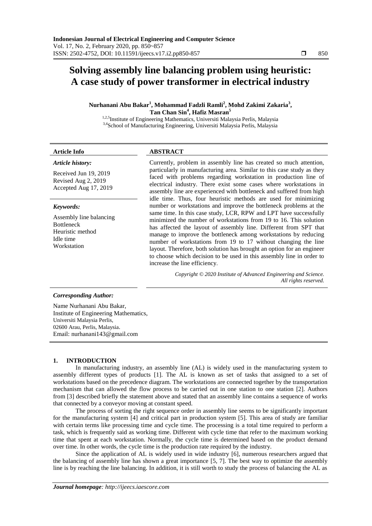# **Solving assembly line balancing problem using heuristic: A case study of power transformer in electrical industry**

**Nurhanani Abu Bakar<sup>1</sup> , Mohammad Fadzli Ramli<sup>2</sup> , Mohd Zakimi Zakaria<sup>3</sup> , Tan Chan Sin<sup>4</sup> , Hafiz Masran<sup>5</sup>**

<sup>1,2,5</sup>Institute of Engineering Mathematics, Universiti Malaysia Perlis, Malaysia 3,4School of Manufacturing Engineering, Universiti Malaysia Perlis, Malaysia

# **Article Info ABSTRACT**

# *Article history:*

Received Jun 19, 2019 Revised Aug 2, 2019 Accepted Aug 17, 2019

#### *Keywords:*

Assembly line balancing Bottleneck Heuristic method Idle time Workstation

Currently, problem in assembly line has created so much attention, particularly in manufacturing area. Similar to this case study as they faced with problems regarding workstation in production line of electrical industry. There exist some cases where workstations in assembly line are experienced with bottleneck and suffered from high idle time. Thus, four heuristic methods are used for minimizing number or workstations and improve the bottleneck problems at the same time. In this case study, LCR, RPW and LPT have successfully minimized the number of workstations from 19 to 16. This solution has affected the layout of assembly line. Different from SPT that manage to improve the bottleneck among workstations by reducing number of workstations from 19 to 17 without changing the line layout. Therefore, both solution has brought an option for an engineer to choose which decision to be used in this assembly line in order to increase the line efficiency.

> *Copyright © 2020 Institute of Advanced Engineering and Science. All rights reserved.*

#### *Corresponding Author:*

Name Nurhanani Abu Bakar, Institute of Engineering Mathematics, Universiti Malaysia Perlis, 02600 Arau, Perlis, Malaysia. Email: nurhanani143@gmail.com

#### **1. INTRODUCTION**

In manufacturing industry, an assembly line (AL) is widely used in the manufacturing system to assembly different types of products [1]. The AL is known as set of tasks that assigned to a set of workstations based on the precedence diagram. The workstations are connected together by the transportation mechanism that can allowed the flow process to be carried out in one station to one station [2]. Authors from [3] described briefly the statement above and stated that an assembly line contains a sequence of works that connected by a conveyor moving at constant speed.

The process of sorting the right sequence order in assembly line seems to be significantly important for the manufacturing system [4] and critical part in production system [5]. This area of study are familiar with certain terms like processing time and cycle time. The processing is a total time required to perform a task, which is frequently said as working time. Different with cycle time that refer to the maximum working time that spent at each workstation. Normally, the cycle time is determined based on the product demand over time. In other words, the cycle time is the production rate required by the industry.

Since the application of AL is widely used in wide industry [6], numerous researchers argued that the balancing of assembly line has shown a great importance [5, 7]. The best way to optimize the assembly line is by reaching the line balancing. In addition, it is still worth to study the process of balancing the AL as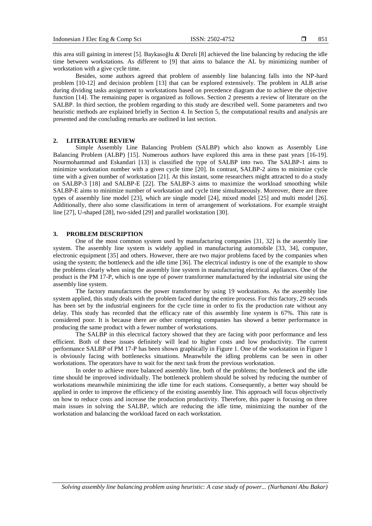this area still gaining in interest [5]. Baykasoğlu & Dereli [8] achieved the line balancing by reducing the idle time between workstations. As different to [9] that aims to balance the AL by minimizing number of workstation with a give cycle time.

Besides, some authors agreed that problem of assembly line balancing falls into the NP-hard problem [10-12] and decision problem [13] that can be explored extensively. The problem in ALB arise during dividing tasks assignment to workstations based on precedence diagram due to achieve the objective function [14]. The remaining paper is organized as follows. Section 2 presents a review of literature on the SALBP. In third section, the problem regarding to this study are described well. Some parameters and two heuristic methods are explained briefly in Section 4. In Section 5, the computational results and analysis are presented and the concluding remarks are outlined in last section.

#### **2. LITERATURE REVIEW**

Simple Assembly Line Balancing Problem (SALBP) which also known as Assembly Line Balancing Problem (ALBP) [15]. Numerous authors have explored this area in these past years [16-19]. Nourmohammad and Eskandari [13] is classified the type of SALBP into two. The SALBP-1 aims to minimize workstation number with a given cycle time [20]. In contrast, SALBP-2 aims to minimize cycle time with a given number of workstation [21]. At this instant, some researchers might attracted to do a study on SALBP-3 [18] and SALBP-E [22]. The SALBP-3 aims to maximize the workload smoothing while SALBP-E aims to minimize number of workstation and cycle time simultaneously. Moreover, there are three types of assembly line model [23], which are single model [24], mixed model [25] and multi model [26]. Additionally, there also some classifications in term of arrangement of workstations. For example straight line [27], U-shaped [28], two-sided [29] and parallel workstation [30].

## **3. PROBLEM DESCRIPTION**

One of the most common system used by manufacturing companies [31, 32] is the assembly line system. The assembly line system is widely applied in manufacturing automobile [33, 34], computer, electronic equipment [35] and others. However, there are two major problems faced by the companies when using the system; the bottleneck and the idle time [36]. The electrical industry is one of the example to show the problems clearly when using the assembly line system in manufacturing electrical appliances. One of the product is the PM 17-P, which is one type of power transformer manufactured by the industrial site using the assembly line system.

The factory manufactures the power transformer by using 19 workstations. As the assembly line system applied, this study deals with the problem faced during the entire process. For this factory, 29 seconds has been set by the industrial engineers for the cycle time in order to fix the production rate without any delay. This study has recorded that the efficacy rate of this assembly line system is 67%. This rate is considered poor. It is because there are other competing companies has showed a better performance in producing the same product with a fewer number of workstations.

The SALBP in this electrical factory showed that they are facing with poor performance and less efficient. Both of these issues definitely will lead to higher costs and low productivity. The current performance SALBP of PM 17-P has been shown graphically in Figure 1. One of the workstation in Figure 1 is obviously facing with bottlenecks situations. Meanwhile the idling problems can be seen in other workstations. The operators have to wait for the next task from the previous workstation.

In order to achieve more balanced assembly line, both of the problems; the bottleneck and the idle time should be improved individually. The bottleneck problem should be solved by reducing the number of workstations meanwhile minimizing the idle time for each stations. Consequently, a better way should be applied in order to improve the efficiency of the existing assembly line. This approach will focus objectively on how to reduce costs and increase the production productivity. Therefore, this paper is focusing on three main issues in solving the SALBP, which are reducing the idle time, minimizing the number of the workstation and balancing the workload faced on each workstation.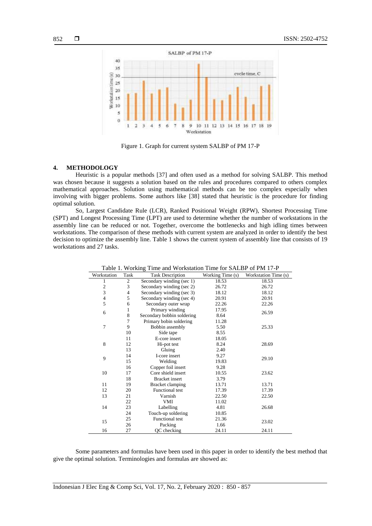

Figure 1. Graph for current system SALBP of PM 17-P

#### **4. METHODOLOGY**

Heuristic is a popular methods [37] and often used as a method for solving SALBP. This method was chosen because it suggests a solution based on the rules and procedures compared to others complex mathematical approaches. Solution using mathematical methods can be too complex especially when involving with bigger problems. Some authors like [38] stated that heuristic is the procedure for finding optimal solution.

So, Largest Candidate Rule (LCR), Ranked Positional Weight (RPW), Shortest Processing Time (SPT) and Longest Processing Time (LPT) are used to determine whether the number of workstations in the assembly line can be reduced or not. Together, overcome the bottlenecks and high idling times between workstations. The comparison of these methods with current system are analyzed in order to identify the best decision to optimize the assembly line. Table 1 shows the current system of assembly line that consists of 19 workstations and 27 tasks.

| Table 1. WOIKing This and WOIKStation This for SALDT OF FWI 17-T |                |                            |                  |                      |  |
|------------------------------------------------------------------|----------------|----------------------------|------------------|----------------------|--|
| Workstation                                                      | Task           | <b>Task Description</b>    | Working Time (s) | Workstation Time (s) |  |
| 1                                                                | 2              | Secondary winding (sec 1)  | 18.53            | 18.53                |  |
| $\overline{\mathbf{c}}$                                          | 3              | Secondary winding (sec 2)  | 26.72            | 26.72                |  |
| 3                                                                | $\overline{4}$ | Secondary winding (sec 3)  | 18.12            | 18.12                |  |
| $\overline{\mathcal{L}}$                                         | 5              | Secondary winding (sec 4)  | 20.91            | 20.91                |  |
| 5                                                                | 6              | Secondary outer wrap       | 22.26            | 22.26                |  |
| 6                                                                | 1              | Primary winding            | 17.95            | 26.59                |  |
|                                                                  | 8              | Secondary bobbin soldering | 8.64             |                      |  |
|                                                                  | 7              | Primary bobin soldering    | 11.28            |                      |  |
| 7                                                                | 9              | Bobbin assembly            | 5.50             | 25.33                |  |
|                                                                  | 10             | Side tape                  | 8.55             |                      |  |
|                                                                  | 11             | E-core insert              | 18.05            |                      |  |
| 8                                                                | 12             | Hi-pot test                | 8.24             | 28.69                |  |
|                                                                  | 13             | Gluing                     | 2.40             |                      |  |
| 9                                                                | 14             | I-core insert              | 9.27             | 29.10                |  |
|                                                                  | 15             | Welding                    | 19.83            |                      |  |
|                                                                  | 16             | Copper foil insert         | 9.28             |                      |  |
| 10                                                               | 17             | Core shield insert         | 10.55            | 23.62                |  |
|                                                                  | 18             | <b>Bracket</b> insert      | 3.79             |                      |  |
| 11                                                               | 19             | Bracket clamping           | 13.71            | 13.71                |  |
| 12                                                               | 20             | <b>Functional test</b>     | 17.39            | 17.39                |  |
| 13                                                               | 21             | Varnish                    | 22.50<br>22.50   |                      |  |
|                                                                  | 22             | <b>VMI</b>                 | 11.02            |                      |  |
| 14                                                               | 23             | Labelling                  | 4.81             | 26.68                |  |
|                                                                  | 24             | Touch-up soldering         | 10.85            |                      |  |
| 15                                                               | 25             | <b>Functional test</b>     | 21.36            | 23.02                |  |
|                                                                  | 26             | Packing                    | 1.66             |                      |  |
| 16                                                               | 27             | QC checking                | 24.11            | 24.11                |  |

Table 1. Working Time and Workstation Time for SALBP of PM 17-P

Some parameters and formulas have been used in this paper in order to identify the best method that give the optimal solution. Terminologies and formulas are showed as: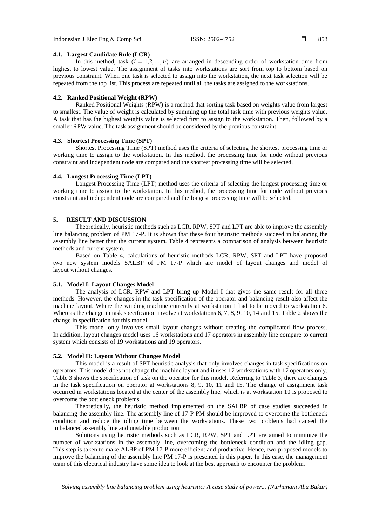853

# **4.1. Largest Candidate Rule (LCR)**

In this method, task  $(i = 1, 2, ..., n)$  are arranged in descending order of workstation time from highest to lowest value. The assignment of tasks into workstations are sort from top to bottom based on previous constraint. When one task is selected to assign into the workstation, the next task selection will be repeated from the top list. This process are repeated until all the tasks are assigned to the workstations.

#### **4.2. Ranked Positional Weight (RPW)**

Ranked Positional Weights (RPW) is a method that sorting task based on weights value from largest to smallest. The value of weight is calculated by summing up the total task time with previous weights value. A task that has the highest weights value is selected first to assign to the workstation. Then, followed by a smaller RPW value. The task assignment should be considered by the previous constraint.

### **4.3. Shortest Processing Time (SPT)**

Shortest Processing Time (SPT) method uses the criteria of selecting the shortest processing time or working time to assign to the workstation. In this method, the processing time for node without previous constraint and independent node are compared and the shortest processing time will be selected.

# **4.4. Longest Processing Time (LPT)**

Longest Processing Time (LPT) method uses the criteria of selecting the longest processing time or working time to assign to the workstation. In this method, the processing time for node without previous constraint and independent node are compared and the longest processing time will be selected.

#### **5. RESULT AND DISCUSSION**

Theoretically, heuristic methods such as LCR, RPW, SPT and LPT are able to improve the assembly line balancing problem of PM 17-P. It is shown that these four heuristic methods succeed in balancing the assembly line better than the current system. Table 4 represents a comparison of analysis between heuristic methods and current system.

Based on Table 4, calculations of heuristic methods LCR, RPW, SPT and LPT have proposed two new system models SALBP of PM 17-P which are model of layout changes and model of layout without changes.

# **5.1. Model I: Layout Changes Model**

The analysis of LCR, RPW and LPT bring up Model I that gives the same result for all three methods. However, the changes in the task specification of the operator and balancing result also affect the machine layout. Where the winding machine currently at workstation 1 had to be moved to workstation 6. Whereas the change in task specification involve at workstations 6, 7, 8, 9, 10, 14 and 15. Table 2 shows the change in specification for this model.

This model only involves small layout changes without creating the complicated flow process. In addition, layout changes model uses 16 workstations and 17 operators in assembly line compare to current system which consists of 19 workstations and 19 operators.

#### **5.2. Model II: Layout Without Changes Model**

This model is a result of SPT heuristic analysis that only involves changes in task specifications on operators. This model does not change the machine layout and it uses 17 workstations with 17 operators only. Table 3 shows the specification of task on the operator for this model. Referring to Table 3, there are changes in the task specification on operator at workstations 8, 9, 10, 11 and 15. The change of assignment task occurred in workstations located at the center of the assembly line, which is at workstation 10 is proposed to overcome the bottleneck problems.

Theoretically, the heuristic method implemented on the SALBP of case studies succeeded in balancing the assembly line. The assembly line of 17-P PM should be improved to overcome the bottleneck condition and reduce the idling time between the workstations. These two problems had caused the imbalanced assembly line and unstable production.

Solutions using heuristic methods such as LCR, RPW, SPT and LPT are aimed to minimize the number of workstations in the assembly line, overcoming the bottleneck condition and the idling gap. This step is taken to make ALBP of PM 17-P more efficient and productive. Hence, two proposed models to improve the balancing of the assembly line PM 17-P is presented in this paper. In this case, the management team of this electrical industry have some idea to look at the best approach to encounter the problem.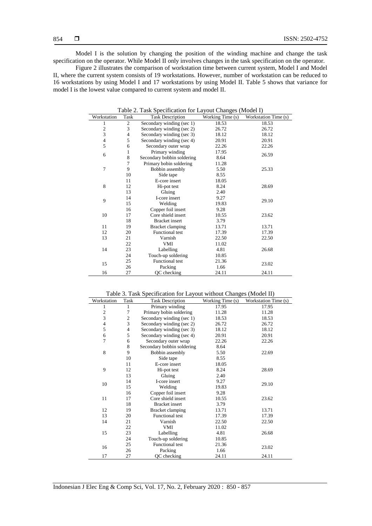Model I is the solution by changing the position of the winding machine and change the task specification on the operator. While Model II only involves changes in the task specification on the operator.

Figure 2 illustrates the comparison of workstation time between current system, Model I and Model II, where the current system consists of 19 workstations. However, number of workstation can be reduced to 16 workstations by using Model I and 17 workstations by using Model II. Table 5 shows that variance for model I is the lowest value compared to current system and model II.

| Table 2. Task Specification for Layout Changes (Model I) |                              |                                             |       |                      |  |
|----------------------------------------------------------|------------------------------|---------------------------------------------|-------|----------------------|--|
| Workstation                                              | Task                         | Working Time (s)<br><b>Task Description</b> |       | Workstation Time (s) |  |
| 1                                                        | $\mathfrak{2}$               | Secondary winding (sec 1)                   | 18.53 | 18.53                |  |
| $\boldsymbol{2}$                                         | 3                            | Secondary winding (sec 2)                   | 26.72 | 26.72                |  |
| 3                                                        | $\overline{4}$               | Secondary winding (sec 3)                   | 18.12 | 18.12                |  |
| $\overline{4}$                                           | 5                            | Secondary winding (sec 4)                   | 20.91 | 20.91                |  |
| 5                                                        | 6                            | Secondary outer wrap                        | 22.26 | 22.26                |  |
| 6                                                        | 1                            | Primary winding                             | 17.95 | 26.59                |  |
|                                                          | 8                            | Secondary bobbin soldering                  | 8.64  |                      |  |
|                                                          | 7                            | Primary bobin soldering                     | 11.28 |                      |  |
| 7                                                        | 9                            | Bobbin assembly                             | 5.50  | 25.33                |  |
|                                                          | 10                           | Side tape                                   | 8.55  |                      |  |
|                                                          | 11                           | E-core insert                               | 18.05 |                      |  |
| 8                                                        | 12                           | Hi-pot test                                 | 8.24  | 28.69                |  |
|                                                          | 13                           | Gluing                                      | 2.40  |                      |  |
| 9                                                        | 14                           | I-core insert                               | 9.27  | 29.10                |  |
|                                                          | 15                           | Welding                                     | 19.83 |                      |  |
|                                                          | 16                           | Copper foil insert                          | 9.28  |                      |  |
| 10                                                       | 17                           | Core shield insert                          | 10.55 | 23.62                |  |
|                                                          | 18                           | <b>Bracket</b> insert                       | 3.79  |                      |  |
| 11                                                       | 19                           | Bracket clamping                            | 13.71 | 13.71                |  |
| 12                                                       | <b>Functional test</b><br>20 |                                             | 17.39 | 17.39                |  |
| 13                                                       | 21                           | Varnish                                     | 22.50 | 22.50                |  |
|                                                          | 22                           | <b>VMI</b>                                  | 11.02 |                      |  |
| 14                                                       | 23                           | Labelling                                   | 4.81  | 26.68                |  |
|                                                          | 24                           | Touch-up soldering                          | 10.85 |                      |  |
| 15                                                       | 25                           | <b>Functional test</b>                      | 21.36 | 23.02                |  |
|                                                          | 26                           | Packing                                     | 1.66  |                      |  |
| 16                                                       | 27                           | QC checking                                 | 24.11 | 24.11                |  |

Table 3. Task Specification for Layout without Changes (Model II)

| Workstation    | Task           | radio 3. Fash Specification for Ea four whilour Changes (moder if)<br><b>Task Description</b> | Working Time (s) | Workstation Time (s) |
|----------------|----------------|-----------------------------------------------------------------------------------------------|------------------|----------------------|
| 1              | 1              | Primary winding                                                                               | 17.95            | 17.95                |
| $\overline{c}$ | 7              | Primary bobin soldering                                                                       | 11.28            | 11.28                |
| 3              | $\mathfrak{2}$ | Secondary winding (sec 1)                                                                     | 18.53            | 18.53                |
| $\overline{4}$ | 3              | Secondary winding (sec 2)                                                                     | 26.72            | 26.72                |
| 5              | 4              | Secondary winding (sec 3)                                                                     | 18.12            | 18.12                |
| 6              | 5              | Secondary winding (sec 4)                                                                     | 20.91            | 20.91                |
| 7              | 6              | Secondary outer wrap                                                                          | 22.26            | 22.26                |
|                | 8              | Secondary bobbin soldering                                                                    | 8.64             |                      |
| 8              | 9              | Bobbin assembly                                                                               | 5.50             | 22.69                |
|                | 10             | Side tape                                                                                     | 8.55             |                      |
|                | 11             | E-core insert                                                                                 | 18.05            |                      |
| 9              | 12             | Hi-pot test                                                                                   | 8.24             | 28.69                |
|                | 13             | Gluing                                                                                        | 2.40             |                      |
| 10             | 14             | I-core insert                                                                                 | 9.27             | 29.10                |
|                | 15             | Welding                                                                                       | 19.83            |                      |
|                | 16             | Copper foil insert                                                                            | 9.28             |                      |
| 11             | 17             | Core shield insert                                                                            | 10.55            | 23.62                |
| 18             |                | <b>Bracket</b> insert                                                                         | 3.79             |                      |
| 12             | 19             | Bracket clamping                                                                              | 13.71            | 13.71                |
| 13             | 20             | <b>Functional test</b>                                                                        | 17.39            | 17.39                |
| 14             | 21             | Varnish                                                                                       | 22.50            | 22.50                |
|                | 22             | VMI                                                                                           | 11.02            |                      |
| 15             | 23             | Labelling                                                                                     | 4.81             | 26.68                |
|                | 24             | Touch-up soldering                                                                            | 10.85            |                      |
| 16             | 25             | <b>Functional test</b>                                                                        | 21.36            | 23.02                |
|                | 26             | Packing                                                                                       | 1.66             |                      |
| 17             | 27             | QC checking                                                                                   | 24.11            | 24.11                |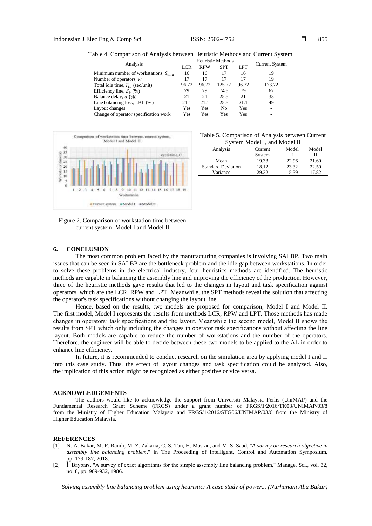855

|  |  | Table 4. Comparison of Analysis between Heuristic Methods and Current System |  |  |  |  |
|--|--|------------------------------------------------------------------------------|--|--|--|--|
|--|--|------------------------------------------------------------------------------|--|--|--|--|

| Analysis                                    | Heuristic Methods |            |                |            | <b>Current System</b> |  |
|---------------------------------------------|-------------------|------------|----------------|------------|-----------------------|--|
|                                             | LCR               | <b>RPW</b> | <b>SPT</b>     | <b>LPT</b> |                       |  |
| Minimum number of workstations, $S_{min}$   | 16                | 16         | 17             | 16         | 19                    |  |
| Number of operators, $w$                    | 17                | 17         | 17             | 17         | 19                    |  |
| Total idle time, $T_{id}$ (sec/unit)        | 96.72             | 96.72      | 125.72         | 96.72      | 173.72                |  |
| Efficiency line, $E_h$ (%)                  | 79                | 79         | 74.5           | 79         | 67                    |  |
| Balance delay, $d \left(\frac{9}{0}\right)$ | 21                | 21         | 25.5           | 21         | 33                    |  |
| Line balancing loss, LBL $(\% )$            | 21.1              | 21.1       | 25.5           | 21.1       | 49                    |  |
| Layout changes                              | Yes               | Yes        | N <sub>0</sub> | Yes        |                       |  |
| Change of operator specification work       | Yes               | Yes        | Yes            | Yes        | -                     |  |



#### Table 5. Comparison of Analysis between Current System Model I, and Model II

| Analysis                  | Current | Model | Model |
|---------------------------|---------|-------|-------|
|                           | System  |       |       |
| Mean                      | 19.33   | 22.96 | 21.60 |
| <b>Standard Deviation</b> | 18.12   | 23.32 | 22.50 |
| Variance                  | 29.32   | 15.39 | 17.82 |

Figure 2. Comparison of workstation time between current system, Model I and Model II

#### **6. CONCLUSION**

The most common problem faced by the manufacturing companies is involving SALBP. Two main issues that can be seen in SALBP are the bottleneck problem and the idle gap between workstations. In order to solve these problems in the electrical industry, four heuristics methods are identified. The heuristic methods are capable in balancing the assembly line and improving the efficiency of the production. However, three of the heuristic methods gave results that led to the changes in layout and task specification against operators, which are the LCR, RPW and LPT. Meanwhile, the SPT methods reveal the solution that affecting the operator's task specifications without changing the layout line.

Hence, based on the results, two models are proposed for comparison; Model I and Model II. The first model, Model I represents the results from methods LCR, RPW and LPT. Those methods has made changes in operators' task specifications and the layout. Meanwhile the second model, Model II shows the results from SPT which only including the changes in operator task specifications without affecting the line layout. Both models are capable to reduce the number of workstations and the number of the operators. Therefore, the engineer will be able to decide between these two models to be applied to the AL in order to enhance line efficiency.

In future, it is recommended to conduct research on the simulation area by applying model I and II into this case study. Thus, the effect of layout changes and task specification could be analyzed. Also, the implication of this action might be recognized as either positive or vice versa.

#### **ACKNOWLEDGEMENTS**

The authors would like to acknowledge the support from Universiti Malaysia Perlis (UniMAP) and the Fundamental Research Grant Scheme (FRGS) under a grant number of FRGS/1/2016/TK03/UNIMAP/03/8 from the Ministry of Higher Education Malaysia and FRGS/1/2016/STG06/UNIMAP/03/6 from the Ministry of Higher Education Malaysia.

#### **REFERENCES**

- [1] N. A. Bakar, M. F. Ramli, M. Z. Zakaria, C. S. Tan, H. Masran, and M. S. Saad, "*A survey on research objective in assembly line balancing problem*," in The Proceeding of Intelligent, Control and Automation Symposium, pp. 179-187, 2018.
- [2] İ. Baybars, "A survey of exact algorithms for the simple assembly line balancing problem," Manage. Sci., vol. 32, no. 8, pp. 909-932, 1986.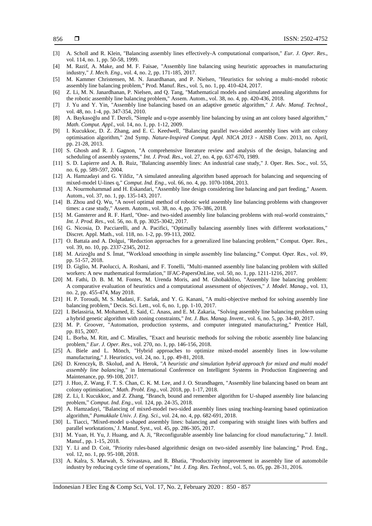- [3] A. Scholl and R. Klein, "Balancing assembly lines effectively-A computational comparison," *Eur. J. Oper. Res*., vol. 114, no. 1, pp. 50-58, 1999.
- [4] M. Razif, A. Make, and M. F. Faisae, "Assembly line balancing using heuristic approaches in manufacturing industry," *J. Mech. Eng*., vol. 4, no. 2, pp. 171-185, 2017.
- [5] M. Kammer Christensen, M. N. Janardhanan, and P. Nielsen, "Heuristics for solving a multi-model robotic assembly line balancing problem," Prod. Manuf. Res., vol. 5, no. 1, pp. 410-424, 2017.
- [6] Z. Li, M. N. Janardhanan, P. Nielsen, and Q. Tang, "Mathematical models and simulated annealing algorithms for the robotic assembly line balancing problem," Assem. Autom., vol. 38, no. 4, pp. 420-436, 2018.
- [7] J. Yu and Y. Yin, "Assembly line balancing based on an adaptive genetic algorithm," *J. Adv. Manuf. Technol*., vol. 48, no. 1-4, pp. 347-354, 2010.
- [8] A. Baykasoǧlu and T. Dereli, "Simple and u-type assembly line balancing by using an ant colony based algorithm," *Math. Comput. Appl*., vol. 14, no. 1, pp. 1-12, 2009.
- [9] I. Kucukkoc, D. Z. Zhang, and E. C. Keedwell, "Balancing parallel two-sided assembly lines with ant colony optimisation algorithm," 2nd Symp. *Nature-Inspired Comput. Appl. NICA 2013* - AISB Conv. 2013, no. April, pp. 21-28, 2013.
- [10] S. Ghosh and R. J. Gagnon, "A comprehensive literature review and analysis of the design, balancing and scheduling of assembly systems," *Int. J. Prod. Res*., vol. 27, no. 4, pp. 637-670, 1989.
- [11] S. D. Lapierre and A. B. Ruiz, "Balancing assembly lines: An industrial case study," J. Oper. Res. Soc., vol. 55, no. 6, pp. 589-597, 2004.
- [12] A. Hamzadayi and G. Yildiz, "A simulated annealing algorithm based approach for balancing and sequencing of mixed-model U-lines q," *Comput. Ind. Eng.,* vol. 66, no. 4, pp. 1070-1084, 2013.
- [13] A. Nourmohammad and H. Eskandari, "Assembly line design considering line balancing and part feeding," Assem. Autom., vol. 37, no. 1, pp. 135-143, 2017.
- [14] B. Zhou and Q. Wu, "A novel optimal method of robotic weld assembly line balancing problems with changeover times: a case study," Assem. Autom., vol. 38, no. 4, pp. 376-386, 2018.
- [15] M. Gansterer and R. F. Hartl, "One- and two-sided assembly line balancing problems with real-world constraints," *Int. J. Prod. Res*., vol. 56, no. 8, pp. 3025-3042, 2017.
- [16] G. Nicosia, D. Pacciarelli, and A. Pacifici, "Optimally balancing assembly lines with different workstations," Discret. Appl. Math., vol. 118, no. 1-2, pp. 99-113, 2002.
- [17] O. Battaïa and A. Dolgui, "Reduction approaches for a generalized line balancing problem," Comput. Oper. Res., vol. 39, no. 10, pp. 2337-2345, 2012.
- [18] M. Azizoğlu and S. İmat, "Workload smoothing in simple assembly line balancing," Comput. Oper. Res., vol. 89, pp. 51-57, 2018.
- [19] D. Giglio, M. Paolucci, A. Roshani, and F. Tonelli, "Multi-manned assembly line balancing problem with skilled workers: A new mathematical formulation," IFAC-PapersOnLine, vol. 50, no. 1, pp. 1211-1216, 2017.
- [20] M. Fathi, D. B. M. M. Fontes, M. Urenda Moris, and M. Ghobakhloo, "Assembly line balancing problem: A comparative evaluation of heuristics and a computational assessment of objectives," *J. Model. Manag*., vol. 13, no. 2, pp. 455-474, May 2018.
- [21] H. P. Toroudi, M. S. Madani, F. Sarlak, and Y. G. Kanani, "A multi-objective method for solving assembly line balancing problem," Decis. Sci. Lett., vol. 6, no. 1, pp. 1-10, 2017.
- [22] I. Belassiria, M. Mohamed, E. Said, C. Anass, and E. M. Zakaria, "Solving assembly line balancing problem using a hybrid genetic algorithm with zoning constraints," *Int. J. Bus. Manag. Invent*., vol. 6, no. 5, pp. 34-40, 2017.
- [23] M. P. Groover, "Automation, production systems, and computer integrated manufacturing," Prentice Hall, pp. 815, 2007.
- [24] L. Borba, M. Ritt, and C. Miralles, "Exact and heuristic methods for solving the robotic assembly line balancing problem," *Eur. J. Oper. Res*., vol. 270, no. 1, pp. 146-156, 2018.
- [25] A. Biele and L. Mönch, "Hybrid approaches to optimize mixed-model assembly lines in low-volume manufacturing," J. Heuristics, vol. 24, no. 1, pp. 49-81, 2018.
- [26] D. Krenczyk, B. Skolud, and A. Herok, "A heuristic and simulation hybrid approach for mixed and multi model *assembly line balancing,*" in International Conference on Intelligent Systems in Production Engineering and Maintenance, pp. 99-108, 2017.
- [27] J. Huo, Z. Wang, F. T. S. Chan, C. K. M. Lee, and J. O. Strandhagen, "Assembly line balancing based on beam ant colony optimisation," *Math. Probl. Eng*., vol. 2018, pp. 1-17, 2018.
- [28] Z. Li, I. Kucukkoc, and Z. Zhang, "Branch, bound and remember algorithm for U-shaped assembly line balancing problem," *Comput. Ind. Eng*., vol. 124, pp. 24-35, 2018.
- [29] A. Hamzadayi, "Balancing of mixed-model two-sided assembly lines using teaching-learning based optimization algorithm," *Pamukkale Univ. J. Eng. Sci*., vol. 24, no. 4, pp. 682-691, 2018.
- [30] L. Tiacci, "Mixed-model u-shaped assembly lines: balancing and comparing with straight lines with buffers and parallel workstations,' J. Manuf. Syst., vol. 45, pp. 286-305, 2017.
- [31] M. Yuan, H. Yu, J. Huang, and A. Ji, "Reconfigurable assembly line balancing for cloud manufacturing," J. Intell. Manuf., pp. 1-15, 2018.
- [32] Y. Li and D. Coit, "Priority rules-based algorithmic design on two-sided assembly line balancing," Prod. Eng., vol. 12, no. 1, pp. 95-108, 2018.
- [33] A. Kalra, S. Marwah, S. Srivastava, and R. Bhatia, "Productivity improvement in assembly line of automobile industry by reducing cycle time of operations," *Int. J. Eng. Res. Technol*., vol. 5, no. 05, pp. 28-31, 2016.